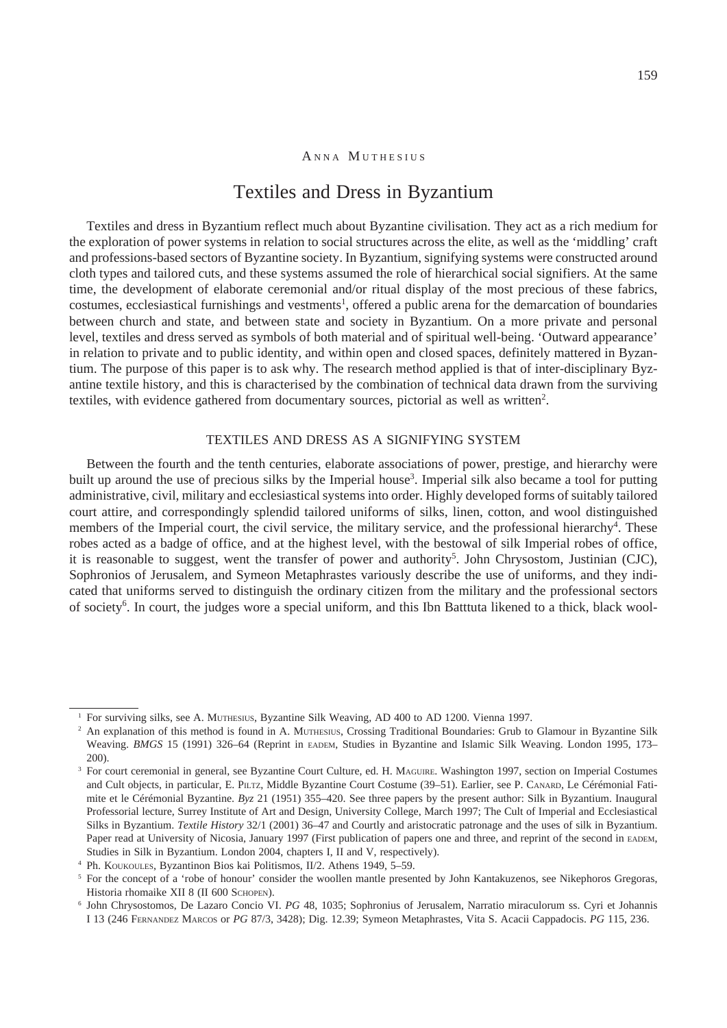#### ANNA MUTHESIUS

# Textiles and Dress in Byzantium

Textiles and dress in Byzantium reflect much about Byzantine civilisation. They act as a rich medium for the exploration of power systems in relation to social structures across the elite, as well as the 'middling' craft and professions-based sectors of Byzantine society. In Byzantium, signifying systems were constructed around cloth types and tailored cuts, and these systems assumed the role of hierarchical social signifiers. At the same time, the development of elaborate ceremonial and/or ritual display of the most precious of these fabrics, costumes, ecclesiastical furnishings and vestments<sup>1</sup>, offered a public arena for the demarcation of boundaries between church and state, and between state and society in Byzantium. On a more private and personal level, textiles and dress served as symbols of both material and of spiritual well-being. 'Outward appearance' in relation to private and to public identity, and within open and closed spaces, definitely mattered in Byzantium. The purpose of this paper is to ask why. The research method applied is that of inter-disciplinary Byzantine textile history, and this is characterised by the combination of technical data drawn from the surviving textiles, with evidence gathered from documentary sources, pictorial as well as written<sup>2</sup>.

## Textiles and dress as a signifying system

Between the fourth and the tenth centuries, elaborate associations of power, prestige, and hierarchy were built up around the use of precious silks by the Imperial house<sup>3</sup>. Imperial silk also became a tool for putting administrative, civil, military and ecclesiastical systems into order. Highly developed forms of suitably tailored court attire, and correspondingly splendid tailored uniforms of silks, linen, cotton, and wool distinguished members of the Imperial court, the civil service, the military service, and the professional hierarchy<sup>4</sup>. These robes acted as a badge of office, and at the highest level, with the bestowal of silk Imperial robes of office, it is reasonable to suggest, went the transfer of power and authority<sup>5</sup>. John Chrysostom, Justinian (CJC), Sophronios of Jerusalem, and Symeon Metaphrastes variously describe the use of uniforms, and they indicated that uniforms served to distinguish the ordinary citizen from the military and the professional sectors of society . In court, the judges wore a special uniform, and this Ibn Batttuta likened to a thick, black wool-

<sup>&</sup>lt;sup>1</sup> For surviving silks, see A. Muthesius, Byzantine Silk Weaving, AD 400 to AD 1200. Vienna 1997.

<sup>&</sup>lt;sup>2</sup> An explanation of this method is found in A. MUTHESIUS, Crossing Traditional Boundaries: Grub to Glamour in Byzantine Silk Weaving. *BMGS* 15 (1991) 326–64 (Reprint in EADEM, Studies in Byzantine and Islamic Silk Weaving. London 1995, 173– 200).

<sup>3</sup> For court ceremonial in general, see Byzantine Court Culture, ed. H. MAGUIRE. Washington 1997, section on Imperial Costumes and Cult objects, in particular, E. PILTZ, Middle Byzantine Court Costume (39–51). Earlier, see P. CANARD, Le Cérémonial Fatimite et le Cérémonial Byzantine. *Byz* 21 (1951) 355–420. See three papers by the present author: Silk in Byzantium. Inaugural Professorial lecture, Surrey Institute of Art and Design, University College, March 1997; The Cult of Imperial and Ecclesiastical Silks in Byzantium. *Textile History* 32/1 (2001) 36–47 and Courtly and aristocratic patronage and the uses of silk in Byzantium. Paper read at University of Nicosia, January 1997 (First publication of papers one and three, and reprint of the second in EADEM, Studies in Silk in Byzantium. London 2004, chapters I, II and V, respectively).

Ph. Koukoules, Byzantinon Bios kai Politismos, II/2. Athens 1949, 5–59.

<sup>&</sup>lt;sup>5</sup> For the concept of a 'robe of honour' consider the woollen mantle presented by John Kantakuzenos, see Nikephoros Gregoras, Historia rhomaike XII 8 (II 600 SCHOPEN).

John Chrysostomos, De Lazaro Concio VI. *PG* 48, 1035; Sophronius of Jerusalem, Narratio miraculorum ss. Cyri et Johannis I 13 (246 Fernandez Marcos or *PG* 87/3, 3428); Dig. 12.39; Symeon Metaphrastes, Vita S. Acacii Cappadocis. *PG* 115, 236.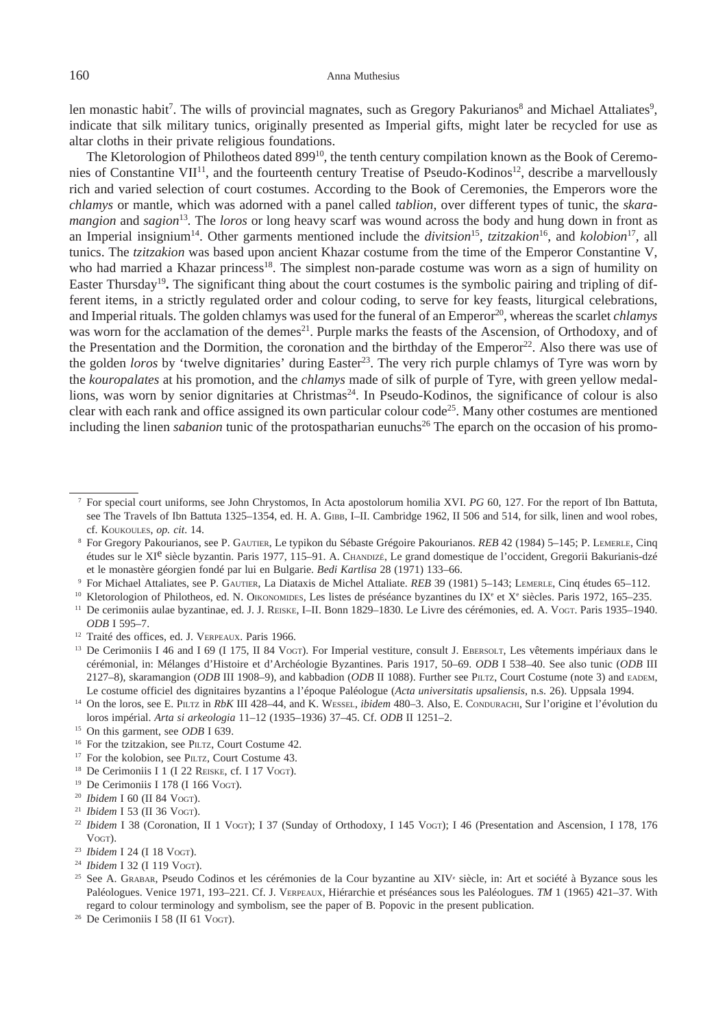len monastic habit<sup>7</sup>. The wills of provincial magnates, such as Gregory Pakurianos<sup>8</sup> and Michael Attaliates<sup>9</sup>, indicate that silk military tunics, originally presented as Imperial gifts, might later be recycled for use as altar cloths in their private religious foundations.

The Kletorologion of Philotheos dated 899<sup>10</sup>, the tenth century compilation known as the Book of Ceremonies of Constantine VII<sup>11</sup>, and the fourteenth century Treatise of Pseudo-Kodinos<sup>12</sup>, describe a marvellously rich and varied selection of court costumes. According to the Book of Ceremonies, the Emperors wore the *chlamys* or mantle, which was adorned with a panel called *tablion*, over different types of tunic, the *skaramangion* and *sagion*<sup>13</sup>. The *loros* or long heavy scarf was wound across the body and hung down in front as an Imperial insignium<sup>14</sup>. Other garments mentioned include the *divitsion*<sup>15</sup>, *tzitzakion*<sup>16</sup>, and *kolobion*<sup>17</sup>, all tunics. The *tzitzakion* was based upon ancient Khazar costume from the time of the Emperor Constantine V, who had married a Khazar princess<sup>18</sup>. The simplest non-parade costume was worn as a sign of humility on Easter Thursday19**.** The significant thing about the court costumes is the symbolic pairing and tripling of different items, in a strictly regulated order and colour coding, to serve for key feasts, liturgical celebrations, and Imperial rituals. The golden chlamys was used for the funeral of an Emperor<sup>20</sup>, whereas the scarlet *chlamys* was worn for the acclamation of the demes<sup>21</sup>. Purple marks the feasts of the Ascension, of Orthodoxy, and of the Presentation and the Dormition, the coronation and the birthday of the Emperor<sup>22</sup>. Also there was use of the golden *loros* by 'twelve dignitaries' during Easter<sup>23</sup>. The very rich purple chlamys of Tyre was worn by the *kouropalates* at his promotion, and the *chlamys* made of silk of purple of Tyre, with green yellow medallions, was worn by senior dignitaries at Christmas<sup>24</sup>. In Pseudo-Kodinos, the significance of colour is also clear with each rank and office assigned its own particular colour code<sup>25</sup>. Many other costumes are mentioned including the linen *sabanion* tunic of the protospatharian eunuchs<sup>26</sup> The eparch on the occasion of his promo-

- <sup>11</sup> De cerimoniis aulae byzantinae, ed. J. J. REISKE, I–II. Bonn 1829–1830. Le Livre des cérémonies, ed. A. Vogt. Paris 1935–1940. *ODB* I 595–7.
- <sup>12</sup> Traité des offices, ed. J. VERPEAUX. Paris 1966.
- <sup>13</sup> De Cerimoniis I 46 and I 69 (I 175, II 84 Vogt). For Imperial vestiture, consult J. EBERSOLT, Les vêtements impériaux dans le cérémonial, in: Mélanges d'Histoire et d'Archéologie Byzantines. Paris 1917, 50–69. *ODB* I 538–40. See also tunic (*ODB* III 2127–8), skaramangion (*ODB* III 1908–9), and kabbadion (*ODB* II 1088). Further see Piltz, Court Costume (note 3) and eadem, Le costume officiel des dignitaires byzantins a l'époque Paléologue (*Acta universitatis upsaliensis*, n.s. 26). Uppsala 1994.
- <sup>14</sup> On the loros, see E. PILTZ in *RbK* III 428–44, and K. WESSEL, *ibidem* 480–3. Also, E. Condurachi, Sur l'origine et l'évolution du loros impérial. *Arta si arkeologia* 11–12 (1935–1936) 37–45. Cf. *ODB* II 1251–2.
- <sup>15</sup> On this garment, see *ODB* I 639.
- <sup>16</sup> For the tzitzakion, see PILTZ, Court Costume 42.
- <sup>17</sup> For the kolobion, see PILTZ, Court Costume 43.
- <sup>18</sup> De Cerimoniis I 1 (I 22 REISKE, cf. I 17 Vogt).
- 
- 
- 
- <sup>19</sup> De Cerimoniis I 178 (I 166 Vogr).<br><sup>20</sup> Ibidem I 60 (II 84 Vogr).<br><sup>21</sup> Ibidem I 53 (II 36 Vogr).<br><sup>21</sup> Ibidem I 38 (Coronation, II 1 Vogr); I 37 (Sunday of Orthodoxy, I 145 Vogr); I 46 (Presentation and Ascension, I 17
- 
- Vogt). 23 *Ibidem* I 24 (I 18 Vogt). 24 *Ibidem* I 32 (I 119 Vogt). 25
- See A. GRABAR, Pseudo Codinos et les cérémonies de la Cour byzantine au XIV<sup>e</sup> siècle, in: Art et société à Byzance sous les Paléologues. Venice 1971, 193–221. Cf. J. Verpeaux, Hiérarchie et préséances sous les Paléologues. *TM* 1 (1965) 421–37. With regard to colour terminology and symbolism, see the paper of B. Popovic in the present publication. <sup>26</sup> De Cerimoniis I 58 (II 61 Voct).
- 

For special court uniforms, see John Chrystomos, In Acta apostolorum homilia XVI. *PG* 60, 127. For the report of Ibn Battuta, see The Travels of Ibn Battuta 1325–1354, ed. H. A. GIBB, I–II. Cambridge 1962, II 506 and 514, for silk, linen and wool robes, cf. Koukoules, *op. cit*. 14.

For Gregory Pakourianos, see P. Gautier, Le typikon du Sébaste Grégoire Pakourianos. *REB* 42 (1984) 5–145; P. Lemerle, Cinq études sur le XIe siècle byzantin. Paris 1977, 115–91. A. Chandizé, Le grand domestique de l'occident, Gregorii Bakurianis-dzé et le monastère géorgien fondé par lui en Bulgarie. *Bedi Kartlisa* 28 (1971) 133–66.

<sup>&</sup>lt;sup>9</sup> For Michael Attaliates, see P. GAUTIER, La Diataxis de Michel Attaliate. REB 39 (1981) 5–143; LEMERLE, Cinq études 65–112.<br><sup>10</sup> Kletorologion of Philotheos, ed. N. OIKONOMIDES, Les listes de préséance byzantines du IX<sup></sup>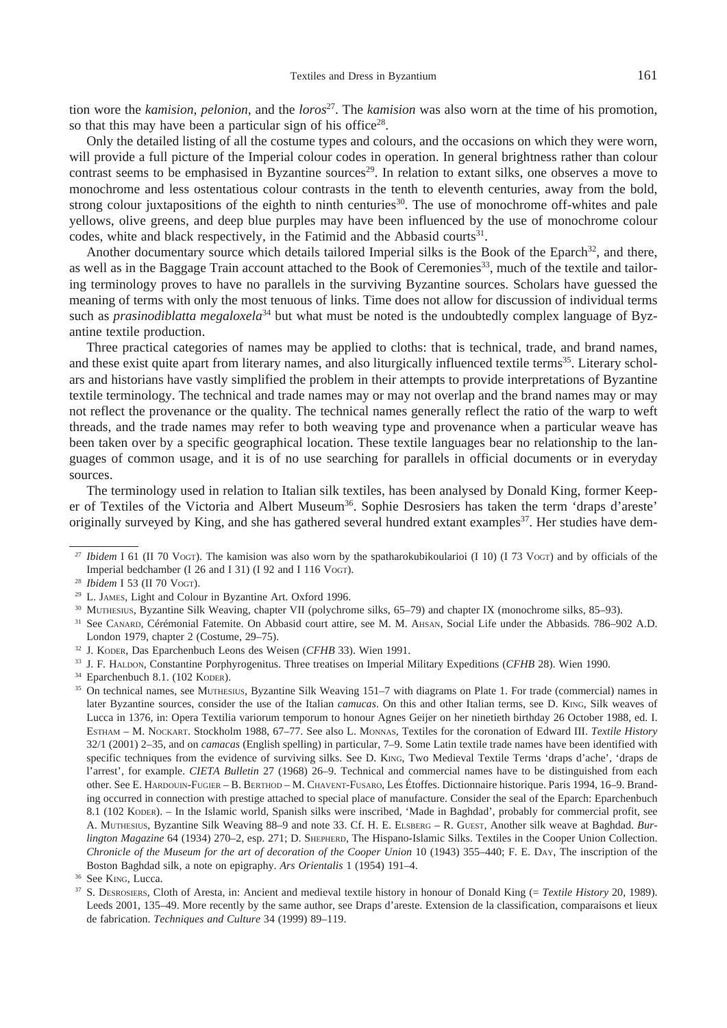tion wore the *kamision*, *pelonion*, and the *loros*<sup>27</sup> . The *kamision* was also worn at the time of his promotion, so that this may have been a particular sign of his office<sup>28</sup>.

Only the detailed listing of all the costume types and colours, and the occasions on which they were worn, will provide a full picture of the Imperial colour codes in operation. In general brightness rather than colour contrast seems to be emphasised in Byzantine sources<sup>29</sup>. In relation to extant silks, one observes a move to monochrome and less ostentatious colour contrasts in the tenth to eleventh centuries, away from the bold, strong colour juxtapositions of the eighth to ninth centuries<sup>30</sup>. The use of monochrome off-whites and pale yellows, olive greens, and deep blue purples may have been influenced by the use of monochrome colour codes, white and black respectively, in the Fatimid and the Abbasid courts<sup>31</sup>.

Another documentary source which details tailored Imperial silks is the Book of the Eparch<sup>32</sup>, and there, as well as in the Baggage Train account attached to the Book of Ceremonies<sup>33</sup>, much of the textile and tailoring terminology proves to have no parallels in the surviving Byzantine sources. Scholars have guessed the meaning of terms with only the most tenuous of links. Time does not allow for discussion of individual terms such as *prasinodiblatta megaloxela*<sup>34</sup> but what must be noted is the undoubtedly complex language of Byzantine textile production.

Three practical categories of names may be applied to cloths: that is technical, trade, and brand names, and these exist quite apart from literary names, and also liturgically influenced textile terms<sup>35</sup>. Literary scholars and historians have vastly simplified the problem in their attempts to provide interpretations of Byzantine textile terminology. The technical and trade names may or may not overlap and the brand names may or may not reflect the provenance or the quality. The technical names generally reflect the ratio of the warp to weft threads, and the trade names may refer to both weaving type and provenance when a particular weave has been taken over by a specific geographical location. These textile languages bear no relationship to the languages of common usage, and it is of no use searching for parallels in official documents or in everyday sources.

The terminology used in relation to Italian silk textiles, has been analysed by Donald King, former Keeper of Textiles of the Victoria and Albert Museum<sup>36</sup>. Sophie Desrosiers has taken the term 'draps d'areste' originally surveyed by King, and she has gathered several hundred extant examples<sup>37</sup>. Her studies have dem-

<sup>&</sup>lt;sup>27</sup> *Ibidem* I 61 (II 70 VoGT). The kamision was also worn by the spatharokubikoularioi (I 10) (I 73 VoGT) and by officials of the Imperial bedchamber (I 26 and I 31) (I 92 and I 116 Vogt).<br><sup>28</sup> *Ibidem* I 53 (II 70 Vogt).<br><sup>29</sup> L. JAMES, Light and Colour in Byzantine Art. Oxford 1996.

<sup>&</sup>lt;sup>30</sup> MUTHESIUS, Byzantine Silk Weaving, chapter VII (polychrome silks, 65–79) and chapter IX (monochrome silks, 85–93).

See Canard, Cérémonial Fatemite. On Abbasid court attire, see M. M. Ahsan, Social Life under the Abbasids*.* 786–902 A.D. London 1979, chapter 2 (Costume, 29–75).<br><sup>32</sup> J. Kober, Das Eparchenbuch Leons des Weisen (*CFHB* 33). Wien 1991.<br><sup>33</sup> J. F. HALDON, Constantine Porphyrogenitus. Three treatises on Imperial Military Expeditions (*CFHB* 28)

later Byzantine sources, consider the use of the Italian *camucas*. On this and other Italian terms, see D. King, Silk weaves of Lucca in 1376, in: Opera Textilia variorum temporum to honour Agnes Geijer on her ninetieth birthday 26 October 1988, ed. I. Estham – M. Nockart. Stockholm 1988, 67–77. See also L. Monnas, Textiles for the coronation of Edward III. *Textile History*  32/1 (2001) 2–35, and on *camacas* (English spelling) in particular, 7–9. Some Latin textile trade names have been identified with specific techniques from the evidence of surviving silks. See D. King, Two Medieval Textile Terms 'draps d'ache', 'draps de l'arrest', for example. *CIETA Bulletin* 27 (1968) 26–9. Technical and commercial names have to be distinguished from each other. See E. Hardouin-Fugier – B. Berthod – M. Chavent-Fusaro, Les Étoffes. Dictionnaire historique. Paris 1994, 16–9. Branding occurred in connection with prestige attached to special place of manufacture. Consider the seal of the Eparch: Eparchenbuch 8.1 (102 Koper). – In the Islamic world, Spanish silks were inscribed, 'Made in Baghdad', probably for commercial profit, see A. Muthesius, Byzantine Silk Weaving 88–9 and note 33. Cf. H. E. Elsberg – R. Guest, Another silk weave at Baghdad. *Burlington Magazine* 64 (1934) 270–2, esp. 271; D. SHEPHERD, The Hispano-Islamic Silks. Textiles in the Cooper Union Collection. *Chronicle of the Museum for the art of decoration of the Cooper Union* 10 (1943) 355–440; F. E. Day, The inscription of the Boston Baghdad silk, a note on epigraphy. *Ars Orientalis* 1 (1954) 191–4. <sup>36</sup> See King, Lucca.

S. Desrosiers, Cloth of Aresta, in: Ancient and medieval textile history in honour of Donald King (= *Textile History* 20, 1989). Leeds 2001, 135–49. More recently by the same author, see Draps d'areste. Extension de la classification, comparaisons et lieux de fabrication. *Techniques and Culture* 34 (1999) 89–119.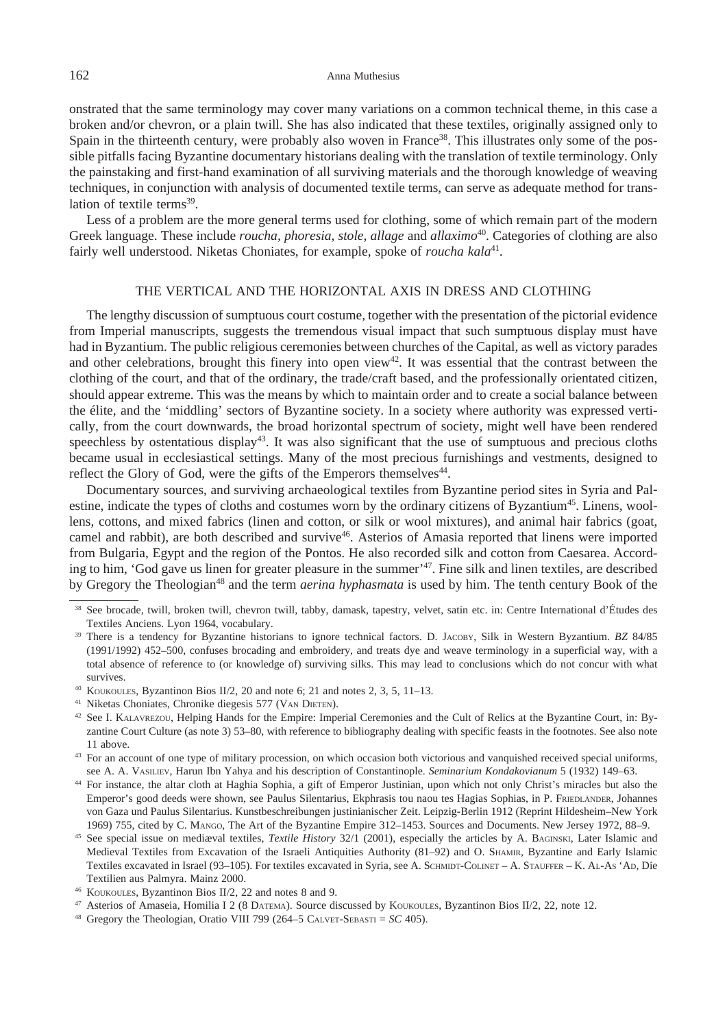#### 162 Anna Muthesius

onstrated that the same terminology may cover many variations on a common technical theme, in this case a broken and/or chevron, or a plain twill. She has also indicated that these textiles, originally assigned only to Spain in the thirteenth century, were probably also woven in France<sup>38</sup>. This illustrates only some of the possible pitfalls facing Byzantine documentary historians dealing with the translation of textile terminology. Only the painstaking and first-hand examination of all surviving materials and the thorough knowledge of weaving techniques, in conjunction with analysis of documented textile terms, can serve as adequate method for translation of textile terms<sup>39</sup>.

Less of a problem are the more general terms used for clothing, some of which remain part of the modern Greek language. These include *roucha, phoresia, stole, allage* and *allaximo*<sup>40</sup>. Categories of clothing are also fairly well understood. Niketas Choniates, for example, spoke of *roucha kala*<sup>41</sup>.

## The vertical and the horizontal axis in dress and clothing

The lengthy discussion of sumptuous court costume, together with the presentation of the pictorial evidence from Imperial manuscripts, suggests the tremendous visual impact that such sumptuous display must have had in Byzantium. The public religious ceremonies between churches of the Capital, as well as victory parades and other celebrations, brought this finery into open view<sup>42</sup>. It was essential that the contrast between the clothing of the court, and that of the ordinary, the trade/craft based, and the professionally orientated citizen, should appear extreme. This was the means by which to maintain order and to create a social balance between the élite, and the 'middling' sectors of Byzantine society. In a society where authority was expressed vertically, from the court downwards, the broad horizontal spectrum of society, might well have been rendered speechless by ostentatious display<sup>43</sup>. It was also significant that the use of sumptuous and precious cloths became usual in ecclesiastical settings. Many of the most precious furnishings and vestments, designed to reflect the Glory of God, were the gifts of the Emperors themselves<sup>44</sup>.

Documentary sources, and surviving archaeological textiles from Byzantine period sites in Syria and Palestine, indicate the types of cloths and costumes worn by the ordinary citizens of Byzantium<sup>45</sup>. Linens, woollens, cottons, and mixed fabrics (linen and cotton, or silk or wool mixtures), and animal hair fabrics (goat, camel and rabbit), are both described and survive<sup>46</sup>. Asterios of Amasia reported that linens were imported from Bulgaria, Egypt and the region of the Pontos. He also recorded silk and cotton from Caesarea. According to him, 'God gave us linen for greater pleasure in the summer'<sup>47</sup>. Fine silk and linen textiles, are described by Gregory the Theologian<sup>48</sup> and the term *aerina hyphasmata* is used by him. The tenth century Book of the

 <sup>38</sup> See brocade, twill, broken twill, chevron twill, tabby, damask, tapestry, velvet, satin etc. in: Centre International d'Études des Textiles Anciens. Lyon 1964, vocabulary.<br><sup>39</sup> There is a tendency for Byzantine historians to ignore technical factors. D. JACOBY, Silk in Western Byzantium. *BZ* 84/85

<sup>(1991/1992) 452–500,</sup> confuses brocading and embroidery, and treats dye and weave terminology in a superficial way, with a total absence of reference to (or knowledge of) surviving silks. This may lead to conclusions which do not concur with what survives.<br><sup>40</sup> Koukoules, Byzantinon Bios II/2, 20 and note 6; 21 and notes 2, 3, 5, 11–13.<br><sup>41</sup> Niketas Choniates, Chronike diegesis 577 (VAN DIETEN).

<sup>&</sup>lt;sup>42</sup> See I. KALAVREZOU, Helping Hands for the Empire: Imperial Ceremonies and the Cult of Relics at the Byzantine Court, in: Byzantine Court Culture (as note 3) 53–80, with reference to bibliography dealing with specific feasts in the footnotes. See also note 11 above. 43 For an account of one type of military procession, on which occasion both victorious and vanquished received special uniforms,

see A. A. VASILIEV, Harun Ibn Yahya and his description of Constantinople. Seminarium Kondakovianum 5 (1932) 149–63.<br><sup>44</sup> For instance, the altar cloth at Haghia Sophia, a gift of Emperor Justinian, upon which not only Chr

Emperor's good deeds were shown, see Paulus Silentarius, Ekphrasis tou naou tes Hagias Sophias, in P. FRIEDLÄNDER, Johannes von Gaza und Paulus Silentarius. Kunstbeschreibungen justinianischer Zeit. Leipzig-Berlin 1912 (Reprint Hildesheim–New York

<sup>1969) 755,</sup> cited by C. MANGO, The Art of the Byzantine Empire 312–1453. Sources and Documents. New Jersey 1972, 88–9.<br><sup>45</sup> See special issue on mediaval textiles, *Textile History* 32/1 (2001), especially the articles by A Medieval Textiles from Excavation of the Israeli Antiquities Authority (81–92) and O. SHAMIR, Byzantine and Early Islamic Textiles excavated in Israel (93-105). For textiles excavated in Syria, see A. SCHMIDT-COLINET – A. STAUFFER – K. AL-As 'AD, Die Textilien aus Palmyra. Mainz 2000.<br><sup>46</sup> Koukoules, Byzantinon Bios II/2, 22 and notes 8 and 9.<br><sup>47</sup> Asterios of Amaseia, Homilia I 2 (8 Datema). Source discussed by Koukoules, Byzantinon Bios II/2, 22, note 12.

<sup>&</sup>lt;sup>48</sup> Gregory the Theologian, Oratio VIII 799 (264–5 CALVET-SEBASTI =  $SC$  405).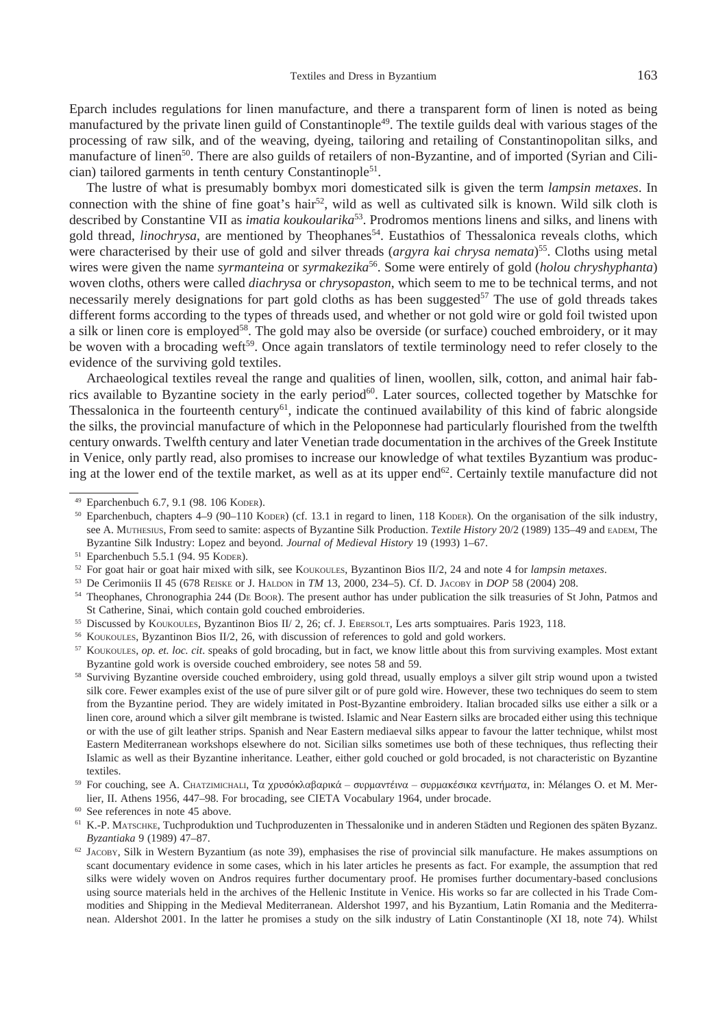Eparch includes regulations for linen manufacture, and there a transparent form of linen is noted as being manufactured by the private linen guild of Constantinople<sup>49</sup>. The textile guilds deal with various stages of the processing of raw silk, and of the weaving, dyeing, tailoring and retailing of Constantinopolitan silks, and manufacture of linen<sup>50</sup>. There are also guilds of retailers of non-Byzantine, and of imported (Syrian and Cilician) tailored garments in tenth century Constantinople<sup>51</sup>.

The lustre of what is presumably bombyx mori domesticated silk is given the term *lampsin metaxes*. In connection with the shine of fine goat's hair<sup>52</sup>, wild as well as cultivated silk is known. Wild silk cloth is described by Constantine VII as *imatia koukoularika*<sup>53</sup> . Prodromos mentions linens and silks, and linens with gold thread, *linochrysa*, are mentioned by Theophanes<sup>54</sup>. Eustathios of Thessalonica reveals cloths, which were characterised by their use of gold and silver threads (*argyra kai chrysa nemata*) 55. Cloths using metal wires were given the name *syrmanteina* or *syrmakezika*<sup>56</sup> . Some were entirely of gold (*holou chryshyphanta*) woven cloths, others were called *diachrysa* or *chrysopaston*, which seem to me to be technical terms, and not necessarily merely designations for part gold cloths as has been suggested<sup>57</sup> The use of gold threads takes different forms according to the types of threads used, and whether or not gold wire or gold foil twisted upon a silk or linen core is employed<sup>58</sup>. The gold may also be overside (or surface) couched embroidery, or it may be woven with a brocading weft<sup>59</sup>. Once again translators of textile terminology need to refer closely to the evidence of the surviving gold textiles.

Archaeological textiles reveal the range and qualities of linen, woollen, silk, cotton, and animal hair fabrics available to Byzantine society in the early period<sup>60</sup>. Later sources, collected together by Matschke for Thessalonica in the fourteenth century<sup>61</sup>, indicate the continued availability of this kind of fabric alongside the silks, the provincial manufacture of which in the Peloponnese had particularly flourished from the twelfth century onwards. Twelfth century and later Venetian trade documentation in the archives of the Greek Institute in Venice, only partly read, also promises to increase our knowledge of what textiles Byzantium was producing at the lower end of the textile market, as well as at its upper end $62$ . Certainly textile manufacture did not

- $50$  Eparchenbuch, chapters 4–9 (90–110 KODER) (cf. 13.1 in regard to linen, 118 KODER). On the organisation of the silk industry, see A. Muthesius, From seed to samite: aspects of Byzantine Silk Production. *Textile History* 20/2 (1989) 135–49 and eadem, The Byzantine Silk Industry: Lopez and beyond. *Journal of Medieval History* 19 (1993) 1–67.
- $51$  Eparchenbuch 5.5.1 (94. 95 KODER).
- 52 <sup>52</sup> For goat hair or goat hair mixed with silk, see KOUKOULES, Byzantinon Bios II/2, 24 and note 4 for *lampsin metaxes*.<br><sup>53</sup> De Cerimoniis II 45 (678 REISKE OF J. HALDON in *TM* 13, 2000, 234–5). Cf. D. LACORY in *DOP*
- <sup>53</sup> De Cerimoniis II 45 (678 Reiske or J. Haldon in *TM* 13, 2000, 234–5). Cf. D. Jacoby in *DOP* 58 (2004) 208.
- <sup>54</sup> Theophanes, Chronographia 244 (De Boor). The present author has under publication the silk treasuries of St John, Patmos and St Catherine, Sinai, which contain gold couched embroideries.
- <sup>55</sup> Discussed by Koukoules, Byzantinon Bios II/ 2, 26; cf. J. Ebersolt, Les arts somptuaires. Paris 1923, 118.
- <sup>56</sup> KOUKOULES, Byzantinon Bios II/2, 26, with discussion of references to gold and gold workers.

<sup>57</sup> Koukoules, *op. et. loc. cit*. speaks of gold brocading, but in fact, we know little about this from surviving examples. Most extant Byzantine gold work is overside couched embroidery, see notes 58 and 59.

- <sup>58</sup> Surviving Byzantine overside couched embroidery, using gold thread, usually employs a silver gilt strip wound upon a twisted silk core. Fewer examples exist of the use of pure silver gilt or of pure gold wire. However, these two techniques do seem to stem from the Byzantine period. They are widely imitated in Post-Byzantine embroidery. Italian brocaded silks use either a silk or a linen core, around which a silver gilt membrane is twisted. Islamic and Near Eastern silks are brocaded either using this technique or with the use of gilt leather strips. Spanish and Near Eastern mediaeval silks appear to favour the latter technique, whilst most Eastern Mediterranean workshops elsewhere do not. Sicilian silks sometimes use both of these techniques, thus reflecting their Islamic as well as their Byzantine inheritance. Leather, either gold couched or gold brocaded, is not characteristic on Byzantine textiles.
- 59 For couching, see A. Chatzimichali, Τα χρυσόκλαβαρικά συρμαντέινα συρμακέσικα κεντήματα, in: Mélanges O. et M. Merlier, II. Athens 1956, 447–98. For brocading, see CIETA Vocabular*<sup>y</sup>* 1964, under brocade. 60
- 

*Byzantiaka* 9 (1989) 47–87.<br><sup>62</sup> Jacoby, Silk in Western Byzantium (as note 39), emphasises the rise of provincial silk manufacture. He makes assumptions on scant documentary evidence in some cases, which in his later articles he presents as fact. For example, the assumption that red silks were widely woven on Andros requires further documentary proof. He promises further documentary-based conclusions using source materials held in the archives of the Hellenic Institute in Venice. His works so far are collected in his Trade Commodities and Shipping in the Medieval Mediterranean. Aldershot 1997, and his Byzantium, Latin Romania and the Mediterranean. Aldershot 2001. In the latter he promises a study on the silk industry of Latin Constantinople (XI 18, note 74). Whilst

 <sup>49</sup> Eparchenbuch 6.7, 9.1 (98. 106 KODER).

<sup>&</sup>lt;sup>61</sup> K.-P. MATSCHKE, Tuchproduktion und Tuchproduzenten in Thessalonike und in anderen Städten und Regionen des späten Byzanz.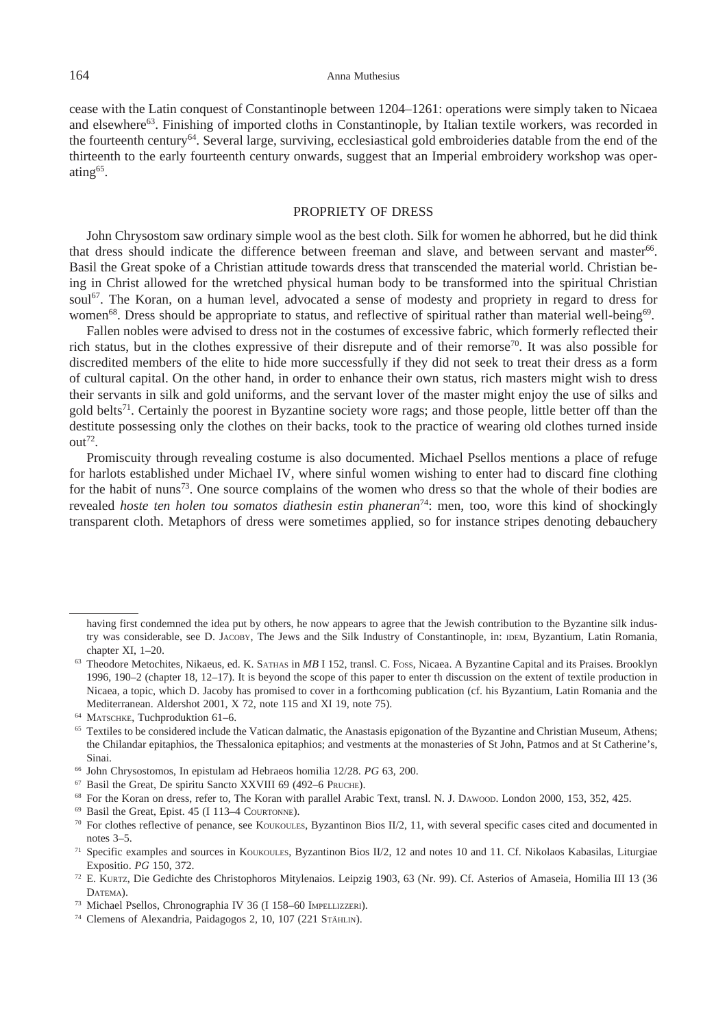cease with the Latin conquest of Constantinople between 1204–1261: operations were simply taken to Nicaea and elsewhere<sup>63</sup>. Finishing of imported cloths in Constantinople, by Italian textile workers, was recorded in the fourteenth century64. Several large, surviving, ecclesiastical gold embroideries datable from the end of the thirteenth to the early fourteenth century onwards, suggest that an Imperial embroidery workshop was operating<sup>65</sup>.

#### Propriety of dress

John Chrysostom saw ordinary simple wool as the best cloth. Silk for women he abhorred, but he did think that dress should indicate the difference between freeman and slave, and between servant and master<sup>66</sup>. Basil the Great spoke of a Christian attitude towards dress that transcended the material world. Christian being in Christ allowed for the wretched physical human body to be transformed into the spiritual Christian soul<sup>67</sup>. The Koran, on a human level, advocated a sense of modesty and propriety in regard to dress for women<sup>68</sup>. Dress should be appropriate to status, and reflective of spiritual rather than material well-being<sup>69</sup>.

Fallen nobles were advised to dress not in the costumes of excessive fabric, which formerly reflected their rich status, but in the clothes expressive of their disrepute and of their remorse<sup>70</sup>. It was also possible for discredited members of the elite to hide more successfully if they did not seek to treat their dress as a form of cultural capital. On the other hand, in order to enhance their own status, rich masters might wish to dress their servants in silk and gold uniforms, and the servant lover of the master might enjoy the use of silks and gold belts<sup>71</sup>. Certainly the poorest in Byzantine society wore rags; and those people, little better off than the destitute possessing only the clothes on their backs, took to the practice of wearing old clothes turned inside  $out^{72}$ .

Promiscuity through revealing costume is also documented. Michael Psellos mentions a place of refuge for harlots established under Michael IV, where sinful women wishing to enter had to discard fine clothing for the habit of nuns<sup>73</sup>. One source complains of the women who dress so that the whole of their bodies are revealed *hoste ten holen tou somatos diathesin estin phaneran*<sup>74</sup> : men, too, wore this kind of shockingly transparent cloth. Metaphors of dress were sometimes applied, so for instance stripes denoting debauchery

- 
- <sup>68</sup> For the Koran on dress, refer to, The Koran with parallel Arabic Text, transl. N. J. Dawood. London 2000, 153, 352, 425. <sup>69</sup> Basil the Great, Epist. 45 (I 113–4 Courtonne).
- 

having first condemned the idea put by others, he now appears to agree that the Jewish contribution to the Byzantine silk industry was considerable, see D. Jacoby, The Jews and the Silk Industry of Constantinople, in: idem, Byzantium, Latin Romania,

chapter XI, 1–20.<br><sup>63</sup> Theodore Metochites, Nikaeus, ed. K. SATHAS in *MB* I 152, transl. C. Foss, Nicaea. A Byzantine Capital and its Praises. Brooklyn 1996, 190–2 (chapter 18, 12–17). It is beyond the scope of this paper to enter th discussion on the extent of textile production in Nicaea, a topic, which D. Jacoby has promised to cover in a forthcoming publication (cf. his Byzantium, Latin Romania and the

Mediterranean. Aldershot 2001, X 72, note 115 and XI 19, note 75).<br><sup>64</sup> MATSCHKE, Tuchproduktion 61–6.<br><sup>65</sup> Textiles to be considered include the Vatican dalmatic, the Anastasis epigonation of the Byzantine and Christian M the Chilandar epitaphios, the Thessalonica epitaphios; and vestments at the monasteries of St John, Patmos and at St Catherine's, Sinai.<br><sup>66</sup> John Chrysostomos, In epistulam ad Hebraeos homilia 12/28. *PG* 63, 200.<br><sup>67</sup> Basil the Great, De spiritu Sancto XXVIII 69 (492–6 Pruche).

<sup>&</sup>lt;sup>70</sup> For clothes reflective of penance, see Koukoules, Byzantinon Bios II/2, 11, with several specific cases cited and documented in notes 3–5.

<sup>71</sup> Specific examples and sources in Koukoules, Byzantinon Bios II/2, 12 and notes 10 and 11. Cf. Nikolaos Kabasilas, Liturgiae Expositio. *PG* 150, 372.

<sup>&</sup>lt;sup>72</sup> E. Kurtz, Die Gedichte des Christophoros Mitylenaios. Leipzig 1903, 63 (Nr. 99). Cf. Asterios of Amaseia, Homilia III 13 (3 DATEMA).

<sup>73</sup> Michael Psellos, Chronographia IV 36 (I 158–60 Impellizzeri).

<sup>&</sup>lt;sup>74</sup> Clemens of Alexandria, Paidagogos 2, 10, 107 (221 STÄHLIN).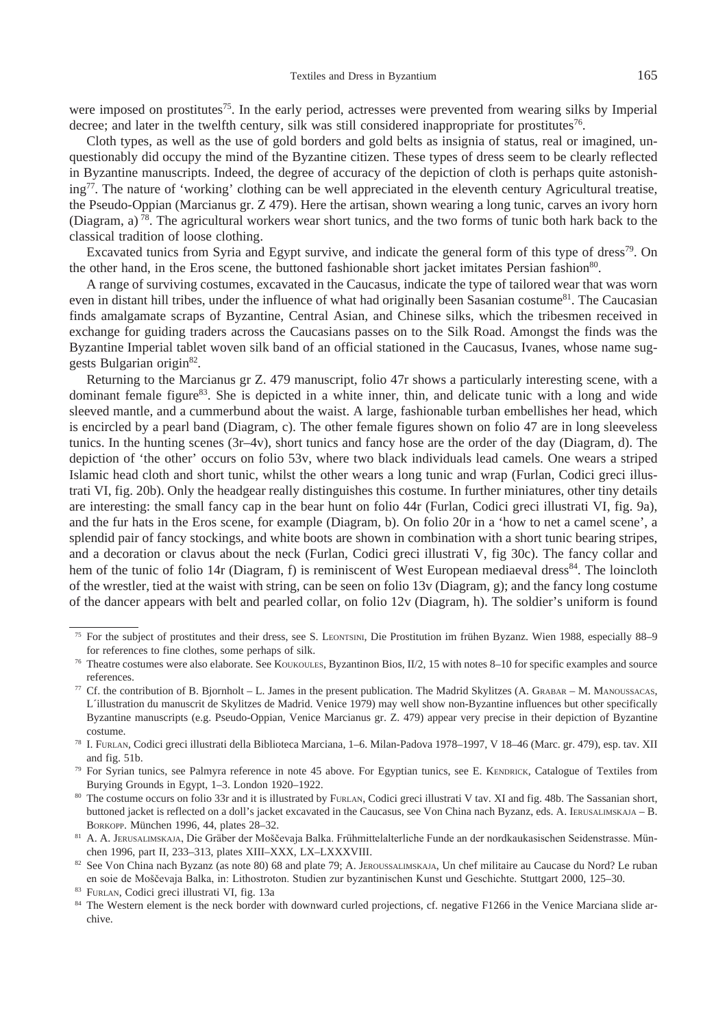were imposed on prostitutes<sup>75</sup>. In the early period, actresses were prevented from wearing silks by Imperial decree; and later in the twelfth century, silk was still considered inappropriate for prostitutes<sup>76</sup>.

Cloth types, as well as the use of gold borders and gold belts as insignia of status, real or imagined, unquestionably did occupy the mind of the Byzantine citizen. These types of dress seem to be clearly reflected in Byzantine manuscripts. Indeed, the degree of accuracy of the depiction of cloth is perhaps quite astonishing77. The nature of 'working' clothing can be well appreciated in the eleventh century Agricultural treatise, the Pseudo-Oppian (Marcianus gr. Z 479). Here the artisan, shown wearing a long tunic, carves an ivory horn (Diagram, a) 78. The agricultural workers wear short tunics, and the two forms of tunic both hark back to the classical tradition of loose clothing.

Excavated tunics from Syria and Egypt survive, and indicate the general form of this type of dress<sup>79</sup>. On the other hand, in the Eros scene, the buttoned fashionable short jacket imitates Persian fashion<sup>80</sup>.

A range of surviving costumes, excavated in the Caucasus, indicate the type of tailored wear that was worn even in distant hill tribes, under the influence of what had originally been Sasanian costume<sup>81</sup>. The Caucasian finds amalgamate scraps of Byzantine, Central Asian, and Chinese silks, which the tribesmen received in exchange for guiding traders across the Caucasians passes on to the Silk Road. Amongst the finds was the Byzantine Imperial tablet woven silk band of an official stationed in the Caucasus, Ivanes, whose name suggests Bulgarian origin82.

Returning to the Marcianus gr Z. 479 manuscript, folio 47r shows a particularly interesting scene, with a dominant female figure<sup>83</sup>. She is depicted in a white inner, thin, and delicate tunic with a long and wide sleeved mantle, and a cummerbund about the waist. A large, fashionable turban embellishes her head, which is encircled by a pearl band (Diagram, c). The other female figures shown on folio 47 are in long sleeveless tunics. In the hunting scenes (3r–4v), short tunics and fancy hose are the order of the day (Diagram, d). The depiction of 'the other' occurs on folio 53v, where two black individuals lead camels. One wears a striped Islamic head cloth and short tunic, whilst the other wears a long tunic and wrap (Furlan, Codici greci illustrati VI, fig. 20b). Only the headgear really distinguishes this costume. In further miniatures, other tiny details are interesting: the small fancy cap in the bear hunt on folio 44r (Furlan, Codici greci illustrati VI, fig. 9a), and the fur hats in the Eros scene, for example (Diagram, b). On folio 20r in a 'how to net a camel scene', a splendid pair of fancy stockings, and white boots are shown in combination with a short tunic bearing stripes, and a decoration or clavus about the neck (Furlan, Codici greci illustrati V, fig 30c). The fancy collar and hem of the tunic of folio 14r (Diagram, f) is reminiscent of West European mediaeval dress<sup>84</sup>. The loincloth of the wrestler, tied at the waist with string, can be seen on folio 13v (Diagram, g); and the fancy long costume of the dancer appears with belt and pearled collar, on folio 12v (Diagram, h). The soldier's uniform is found

<sup>75</sup> For the subject of prostitutes and their dress, see S. Leontsini, Die Prostitution im frühen Byzanz. Wien 1988, especially 88–9 for references to fine clothes, some perhaps of silk.

<sup>&</sup>lt;sup>76</sup> Theatre costumes were also elaborate. See Koukoules, Byzantinon Bios, II/2, 15 with notes 8–10 for specific examples and source

references.<br><sup>77</sup> Cf. the contribution of B. Bjornholt – L. James in the present publication. The Madrid Skylitzes (A. GRABAR – M. MANOUSSACAS, L´illustration du manuscrit de Skylitzes de Madrid. Venice 1979) may well show non-Byzantine influences but other specifically Byzantine manuscripts (e.g. Pseudo-Oppian, Venice Marcianus gr. Z. 479) appear very precise in their depiction of Byzantine costume.

<sup>78</sup> I. Furlan, Codici greci illustrati della Biblioteca Marciana, 1–6. Milan-Padova 1978–1997, V 18–46 (Marc. gr. 479), esp. tav. XII and fig. 51b.

<sup>79</sup> For Syrian tunics, see Palmyra reference in note 45 above. For Egyptian tunics, see E. KENDRICK, Catalogue of Textiles from Burying Grounds in Egypt, 1–3. London 1920–1922.

<sup>80</sup> The costume occurs on folio 33r and it is illustrated by FURLAN, Codici greci illustrati V tav. XI and fig. 48b. The Sassanian short, buttoned jacket is reflected on a doll's jacket excavated in the Caucasus, see Von China nach Byzanz, eds. A. IERUSALIMSKAJA – B. Borkopp. München 1996, 44, plates 28–32.

<sup>81</sup> A. A. JERUSALIMSKAJA, Die Gräber der Moščevaja Balka. Frühmittelalterliche Funde an der nordkaukasischen Seidenstrasse. München 1996, part II, 233–313, plates XIII–XXX, LX–LXXXVIII.

<sup>&</sup>lt;sup>82</sup> See Von China nach Byzanz (as note 80) 68 and plate 79; A. JEROUSSALIMSKAJA, Un chef militaire au Caucase du Nord? Le ruban en soie de Moščevaja Balka, in: Lithostroton. Studien zur byzantinischen Kunst und Geschichte. Stuttgart 2000, 125–30.

<sup>83</sup> Furlan, Codici greci illustrati VI, fig. 13a

<sup>&</sup>lt;sup>84</sup> The Western element is the neck border with downward curled projections, cf. negative F1266 in the Venice Marciana slide archive.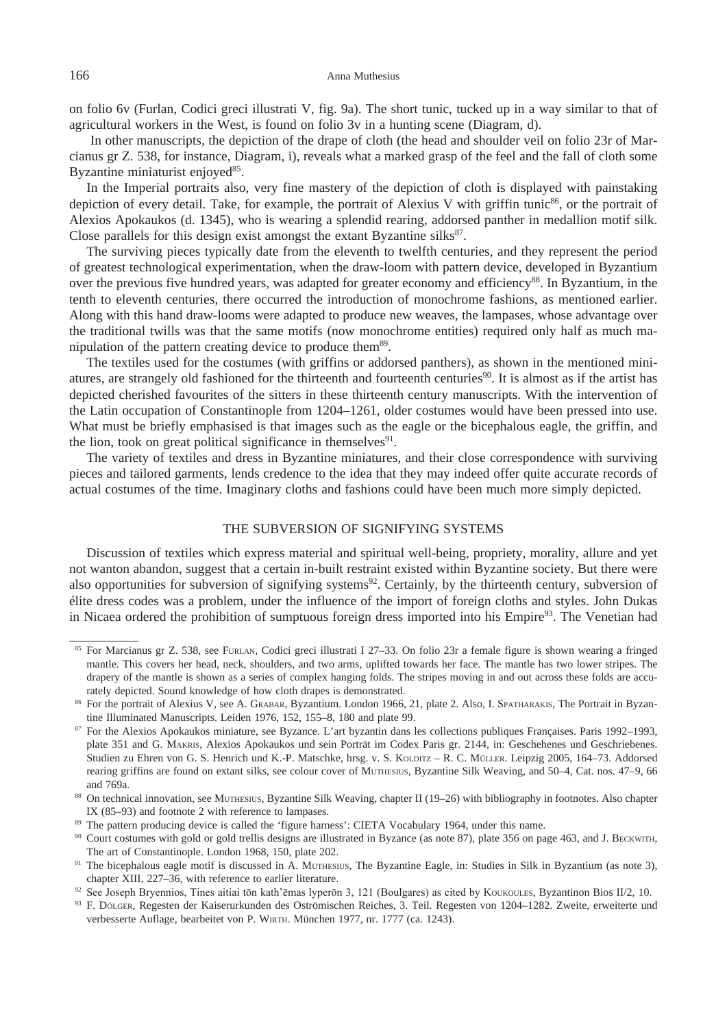on folio 6v (Furlan, Codici greci illustrati V, fig. 9a). The short tunic, tucked up in a way similar to that of agricultural workers in the West, is found on folio 3v in a hunting scene (Diagram, d).

 In other manuscripts, the depiction of the drape of cloth (the head and shoulder veil on folio 23r of Marcianus gr Z. 538, for instance, Diagram, i), reveals what a marked grasp of the feel and the fall of cloth some Byzantine miniaturist enjoyed<sup>85</sup>.

In the Imperial portraits also, very fine mastery of the depiction of cloth is displayed with painstaking depiction of every detail. Take, for example, the portrait of Alexius V with griffin tunic<sup>86</sup>, or the portrait of Alexios Apokaukos (d. 1345), who is wearing a splendid rearing, addorsed panther in medallion motif silk. Close parallels for this design exist amongst the extant Byzantine silks $^{87}$ .

The surviving pieces typically date from the eleventh to twelfth centuries, and they represent the period of greatest technological experimentation, when the draw-loom with pattern device, developed in Byzantium over the previous five hundred years, was adapted for greater economy and efficiency<sup>88</sup>. In Byzantium, in the tenth to eleventh centuries, there occurred the introduction of monochrome fashions, as mentioned earlier. Along with this hand draw-looms were adapted to produce new weaves, the lampases, whose advantage over the traditional twills was that the same motifs (now monochrome entities) required only half as much manipulation of the pattern creating device to produce them<sup>89</sup>.

The textiles used for the costumes (with griffins or addorsed panthers), as shown in the mentioned miniatures, are strangely old fashioned for the thirteenth and fourteenth centuries<sup>90</sup>. It is almost as if the artist has depicted cherished favourites of the sitters in these thirteenth century manuscripts. With the intervention of the Latin occupation of Constantinople from 1204–1261, older costumes would have been pressed into use. What must be briefly emphasised is that images such as the eagle or the bicephalous eagle, the griffin, and the lion, took on great political significance in themselves $91$ .

The variety of textiles and dress in Byzantine miniatures, and their close correspondence with surviving pieces and tailored garments, lends credence to the idea that they may indeed offer quite accurate records of actual costumes of the time. Imaginary cloths and fashions could have been much more simply depicted.

# The subversion of signifying systems

Discussion of textiles which express material and spiritual well-being, propriety, morality, allure and yet not wanton abandon, suggest that a certain in-built restraint existed within Byzantine society. But there were also opportunities for subversion of signifying systems<sup>92</sup>. Certainly, by the thirteenth century, subversion of élite dress codes was a problem, under the influence of the import of foreign cloths and styles. John Dukas in Nicaea ordered the prohibition of sumptuous foreign dress imported into his Empire<sup>93</sup>. The Venetian had

<sup>85</sup> For Marcianus gr Z. 538, see FURLAN, Codici greci illustrati I 27-33. On folio 23r a female figure is shown wearing a fringed mantle. This covers her head, neck, shoulders, and two arms, uplifted towards her face. The mantle has two lower stripes. The drapery of the mantle is shown as a series of complex hanging folds. The stripes moving in and out across these folds are accurately depicted. Sound knowledge of how cloth drapes is demonstrated.

<sup>&</sup>lt;sup>86</sup> For the portrait of Alexius V, see A. Grавак, Byzantium. London 1966, 21, plate 2. Also, I. Spaтнакакиз, The Portrait in Byzantine Illuminated Manuscripts. Leiden 1976, 152, 155–8, 180 and plate 99.

<sup>87</sup> For the Alexios Apokaukos miniature, see Byzance. L'art byzantin dans les collections publiques Françaises. Paris 1992-1993, plate 351 and G. Makris, Alexios Apokaukos und sein Porträt im Codex Paris gr. 2144, in: Geschehenes und Geschriebenes. Studien zu Ehren von G. S. Henrich und K.-P. Matschke, hrsg. v. S. Kolpriz – R. C. Müller. Leipzig 2005, 164–73. Addorsed rearing griffins are found on extant silks, see colour cover of Muthesius, Byzantine Silk Weaving, and 50–4, Cat. nos. 47–9, 66 and 769a.

<sup>88</sup> On technical innovation, see Murhesius, Byzantine Silk Weaving, chapter II (19–26) with bibliography in footnotes. Also chapter IX (85–93) and footnote 2 with reference to lampases.

<sup>&</sup>lt;sup>89</sup> The pattern producing device is called the 'figure harness': CIETA Vocabulary 1964, under this name.

<sup>90</sup> Court costumes with gold or gold trellis designs are illustrated in Byzance (as note 87), plate 356 on page 463, and J. Beckwith, The art of Constantinople. London 1968, 150, plate 202.

<sup>&</sup>lt;sup>91</sup> The bicephalous eagle motif is discussed in A. MUTHESIUS, The Byzantine Eagle, in: Studies in Silk in Byzantium (as note 3), chapter XIII, 227–36, with reference to earlier literature.

<sup>92</sup> See Joseph Bryennios, Tines aitiai tōn kath'ēmas lyperōn 3, 121 (Boulgares) as cited by Koukoules, Byzantinon Bios II/2, 10.

F. Dölger, Regesten der Kaiserurkunden des Oströmischen Reiches, 3. Teil. Regesten von 1204–1282. Zweite, erweiterte und verbesserte Auflage, bearbeitet von P. Wirth. München 1977, nr. 1777 (ca. 1243).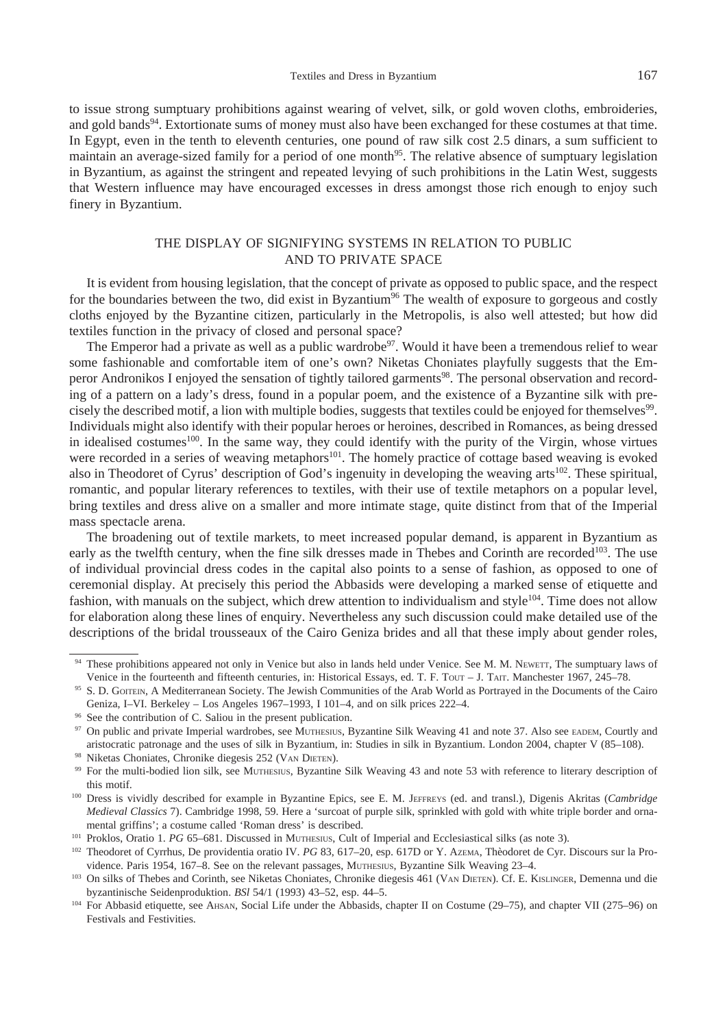to issue strong sumptuary prohibitions against wearing of velvet, silk, or gold woven cloths, embroideries, and gold bands<sup>94</sup>. Extortionate sums of money must also have been exchanged for these costumes at that time. In Egypt, even in the tenth to eleventh centuries, one pound of raw silk cost 2.5 dinars, a sum sufficient to maintain an average-sized family for a period of one month<sup>95</sup>. The relative absence of sumptuary legislation in Byzantium, as against the stringent and repeated levying of such prohibitions in the Latin West, suggests that Western influence may have encouraged excesses in dress amongst those rich enough to enjoy such finery in Byzantium.

# The display of signifying systems in relation to public and to private space

It is evident from housing legislation, that the concept of private as opposed to public space, and the respect for the boundaries between the two, did exist in Byzantium<sup>96</sup> The wealth of exposure to gorgeous and costly cloths enjoyed by the Byzantine citizen, particularly in the Metropolis, is also well attested; but how did textiles function in the privacy of closed and personal space?

The Emperor had a private as well as a public wardrobe<sup>97</sup>. Would it have been a tremendous relief to wear some fashionable and comfortable item of one's own? Niketas Choniates playfully suggests that the Emperor Andronikos I enjoyed the sensation of tightly tailored garments<sup>98</sup>. The personal observation and recording of a pattern on a lady's dress, found in a popular poem, and the existence of a Byzantine silk with precisely the described motif, a lion with multiple bodies, suggests that textiles could be enjoyed for themselves<sup>99</sup>. Individuals might also identify with their popular heroes or heroines, described in Romances, as being dressed in idealised costumes<sup>100</sup>. In the same way, they could identify with the purity of the Virgin, whose virtues were recorded in a series of weaving metaphors<sup>101</sup>. The homely practice of cottage based weaving is evoked also in Theodoret of Cyrus' description of God's ingenuity in developing the weaving arts<sup>102</sup>. These spiritual, romantic, and popular literary references to textiles, with their use of textile metaphors on a popular level, bring textiles and dress alive on a smaller and more intimate stage, quite distinct from that of the Imperial mass spectacle arena.

The broadening out of textile markets, to meet increased popular demand, is apparent in Byzantium as early as the twelfth century, when the fine silk dresses made in Thebes and Corinth are recorded<sup>103</sup>. The use of individual provincial dress codes in the capital also points to a sense of fashion, as opposed to one of ceremonial display. At precisely this period the Abbasids were developing a marked sense of etiquette and fashion, with manuals on the subject, which drew attention to individualism and style<sup>104</sup>. Time does not allow for elaboration along these lines of enquiry. Nevertheless any such discussion could make detailed use of the descriptions of the bridal trousseaux of the Cairo Geniza brides and all that these imply about gender roles,

<sup>94</sup> These prohibitions appeared not only in Venice but also in lands held under Venice. See M. M. Newerr, The sumptuary laws of Venice in the fourteenth and fifteenth centuries, in: Historical Essays, ed. T. F. Tour – J. TAIT. Manchester 1967, 245–78.

<sup>95</sup> S. D. GOITEIN, A Mediterranean Society. The Jewish Communities of the Arab World as Portrayed in the Documents of the Cairo Geniza, I–VI. Berkeley – Los Angeles 1967–1993, I 101–4, and on silk prices 222–4.

<sup>96</sup> See the contribution of C. Saliou in the present publication.

<sup>97</sup> On public and private Imperial wardrobes, see MUTHESIUS, Byzantine Silk Weaving 41 and note 37. Also see EADEM, Courtly and aristocratic patronage and the uses of silk in Byzantium, in: Studies in silk in Byzantium. London 2004, chapter V (85–108).

<sup>98</sup> Niketas Choniates, Chronike diegesis 252 (VAN DIETEN).

<sup>&</sup>lt;sup>99</sup> For the multi-bodied lion silk, see MUTHESIUS, Byzantine Silk Weaving 43 and note 53 with reference to literary description of this motif.

<sup>&</sup>lt;sup>100</sup> Dress is vividly described for example in Byzantine Epics, see E. M. JEFFREYS (ed. and transl.), Digenis Akritas (*Cambridge Medieval Classics* 7). Cambridge 1998, 59. Here a 'surcoat of purple silk, sprinkled with gold with white triple border and ornamental griffins'; a costume called 'Roman dress' is described.

<sup>&</sup>lt;sup>101</sup> Proklos, Oratio 1. *PG* 65–681. Discussed in MUTHESIUS, Cult of Imperial and Ecclesiastical silks (as note 3).

<sup>102</sup> Theodoret of Cyrrhus, De providentia oratio IV. PG 83, 617-20, esp. 617D or Y. AzEMA, Thèodoret de Cyr. Discours sur la Providence. Paris 1954, 167–8. See on the relevant passages, MUTHESIUS, Byzantine Silk Weaving 23–4.<br><sup>103</sup> On silks of Thebes and Corinth, see Niketas Choniates, Chronike diegesis 461 (VAN DIETEN). Cf. E. KISLINGER, Demenna u

byzantinische Seidenproduktion. *BSl* 54/1 (1993) 43–52, esp. 44–5.

<sup>104</sup> For Abbasid etiquette, see Ahsan, Social Life under the Abbasids, chapter II on Costume (29–75), and chapter VII (275–96) on Festivals and Festivities.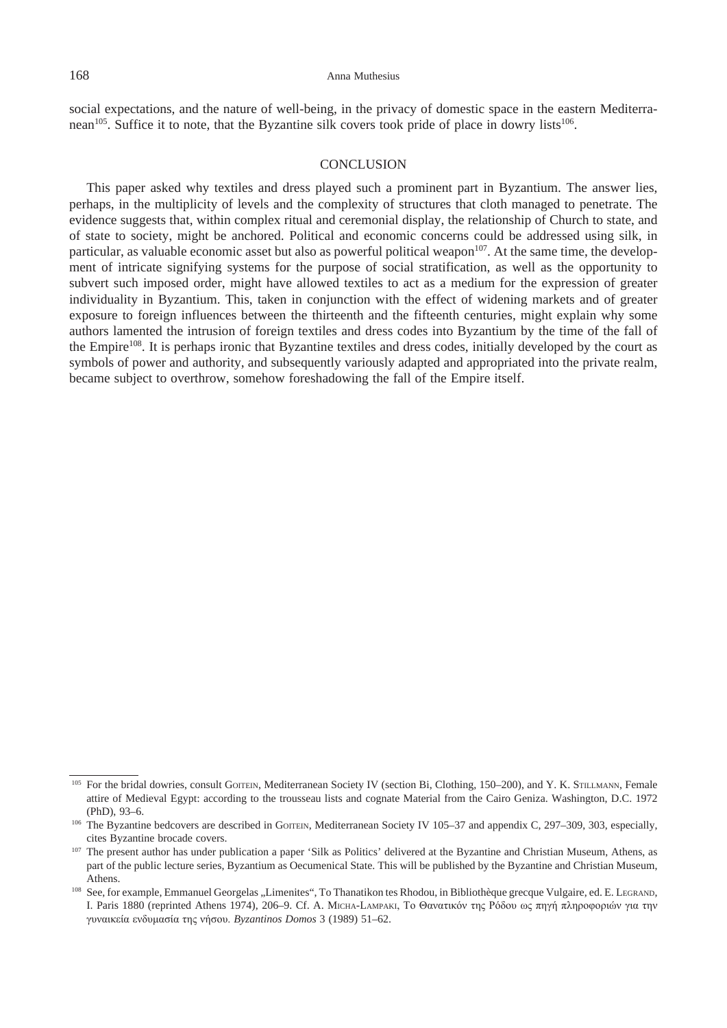social expectations, and the nature of well-being, in the privacy of domestic space in the eastern Mediterranean<sup>105</sup>. Suffice it to note, that the Byzantine silk covers took pride of place in dowry lists<sup>106</sup>.

## **CONCLUSION**

This paper asked why textiles and dress played such a prominent part in Byzantium. The answer lies, perhaps, in the multiplicity of levels and the complexity of structures that cloth managed to penetrate. The evidence suggests that, within complex ritual and ceremonial display, the relationship of Church to state, and of state to society, might be anchored. Political and economic concerns could be addressed using silk, in particular, as valuable economic asset but also as powerful political weapon<sup>107</sup>. At the same time, the development of intricate signifying systems for the purpose of social stratification, as well as the opportunity to subvert such imposed order, might have allowed textiles to act as a medium for the expression of greater individuality in Byzantium. This, taken in conjunction with the effect of widening markets and of greater exposure to foreign influences between the thirteenth and the fifteenth centuries, might explain why some authors lamented the intrusion of foreign textiles and dress codes into Byzantium by the time of the fall of the Empire<sup>108</sup>. It is perhaps ironic that Byzantine textiles and dress codes, initially developed by the court as symbols of power and authority, and subsequently variously adapted and appropriated into the private realm, became subject to overthrow, somehow foreshadowing the fall of the Empire itself.

<sup>&</sup>lt;sup>105</sup> For the bridal dowries, consult Gorrein, Mediterranean Society IV (section Bi, Clothing, 150–200), and Y. K. STILLMANN, Female attire of Medieval Egypt: according to the trousseau lists and cognate Material from the Cairo Geniza. Washington, D.C. 1972 (PhD), 93–6.

<sup>&</sup>lt;sup>106</sup> The Byzantine bedcovers are described in Gomen, Mediterranean Society IV 105–37 and appendix C, 297–309, 303, especially, cites Byzantine brocade covers.

<sup>&</sup>lt;sup>107</sup> The present author has under publication a paper 'Silk as Politics' delivered at the Byzantine and Christian Museum, Athens, as part of the public lecture series, Byzantium as Oecumenical State. This will be published by the Byzantine and Christian Museum, Athens.

<sup>&</sup>lt;sup>108</sup> See, for example, Emmanuel Georgelas "Limenites", To Thanatikon tes Rhodou, in Bibliothèque grecque Vulgaire, ed. E. LEGRAND, I. Paris 1880 (reprinted Athens 1974), 206–9. Cf. A. Micha-Lampaki, Το Θανατικόν της Ρόδου ως πηγή πληροφοριών για την γυναικεία ενδυμασία της νήσου. *Byzantinos Domos* 3 (1989) 51–62.